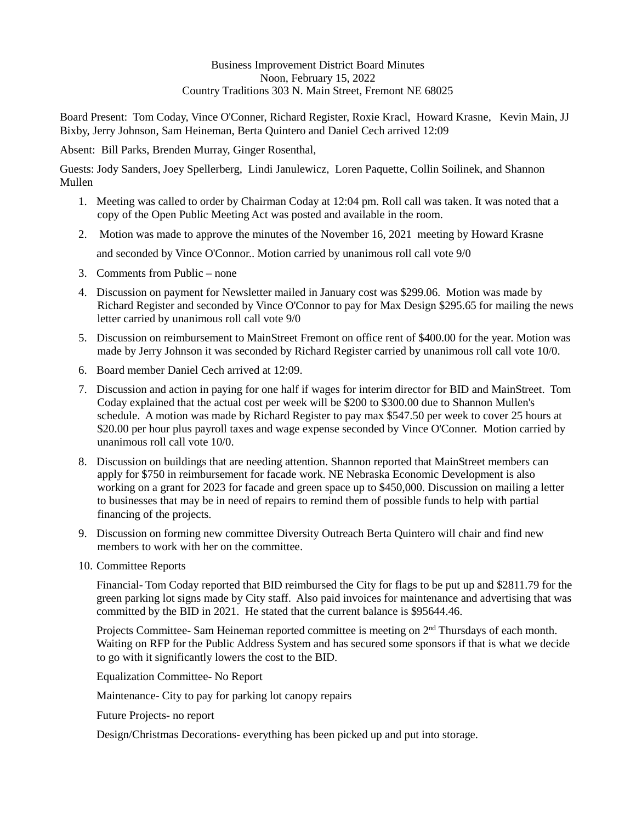## Business Improvement District Board Minutes Noon, February 15, 2022 Country Traditions 303 N. Main Street, Fremont NE 68025

Board Present: Tom Coday, Vince O'Conner, Richard Register, Roxie Kracl, Howard Krasne, Kevin Main, JJ Bixby, Jerry Johnson, Sam Heineman, Berta Quintero and Daniel Cech arrived 12:09

Absent: Bill Parks, Brenden Murray, Ginger Rosenthal,

Guests: Jody Sanders, Joey Spellerberg, Lindi Janulewicz, Loren Paquette, Collin Soilinek, and Shannon Mullen

- 1. Meeting was called to order by Chairman Coday at 12:04 pm. Roll call was taken. It was noted that a copy of the Open Public Meeting Act was posted and available in the room.
- 2. Motion was made to approve the minutes of the November 16, 2021 meeting by Howard Krasne

and seconded by Vince O'Connor.. Motion carried by unanimous roll call vote 9/0

- 3. Comments from Public none
- 4. Discussion on payment for Newsletter mailed in January cost was \$299.06. Motion was made by Richard Register and seconded by Vince O'Connor to pay for Max Design \$295.65 for mailing the news letter carried by unanimous roll call vote 9/0
- 5. Discussion on reimbursement to MainStreet Fremont on office rent of \$400.00 for the year. Motion was made by Jerry Johnson it was seconded by Richard Register carried by unanimous roll call vote 10/0.
- 6. Board member Daniel Cech arrived at 12:09.
- 7. Discussion and action in paying for one half if wages for interim director for BID and MainStreet. Tom Coday explained that the actual cost per week will be \$200 to \$300.00 due to Shannon Mullen's schedule. A motion was made by Richard Register to pay max \$547.50 per week to cover 25 hours at \$20.00 per hour plus payroll taxes and wage expense seconded by Vince O'Conner. Motion carried by unanimous roll call vote 10/0.
- 8. Discussion on buildings that are needing attention. Shannon reported that MainStreet members can apply for \$750 in reimbursement for facade work. NE Nebraska Economic Development is also working on a grant for 2023 for facade and green space up to \$450,000. Discussion on mailing a letter to businesses that may be in need of repairs to remind them of possible funds to help with partial financing of the projects.
- 9. Discussion on forming new committee Diversity Outreach Berta Quintero will chair and find new members to work with her on the committee.
- 10. Committee Reports

Financial- Tom Coday reported that BID reimbursed the City for flags to be put up and \$2811.79 for the green parking lot signs made by City staff. Also paid invoices for maintenance and advertising that was committed by the BID in 2021. He stated that the current balance is \$95644.46.

Projects Committee- Sam Heineman reported committee is meeting on 2<sup>nd</sup> Thursdays of each month. Waiting on RFP for the Public Address System and has secured some sponsors if that is what we decide to go with it significantly lowers the cost to the BID.

Equalization Committee- No Report

Maintenance- City to pay for parking lot canopy repairs

Future Projects- no report

Design/Christmas Decorations- everything has been picked up and put into storage.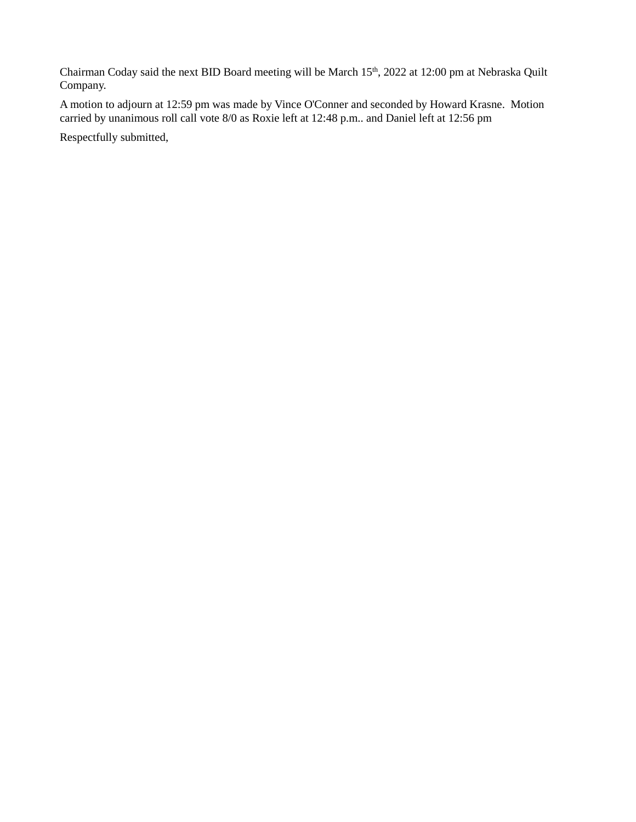Chairman Coday said the next BID Board meeting will be March 15<sup>th</sup>, 2022 at 12:00 pm at Nebraska Quilt Company.

A motion to adjourn at 12:59 pm was made by Vince O'Conner and seconded by Howard Krasne. Motion carried by unanimous roll call vote 8/0 as Roxie left at 12:48 p.m.. and Daniel left at 12:56 pm

Respectfully submitted,